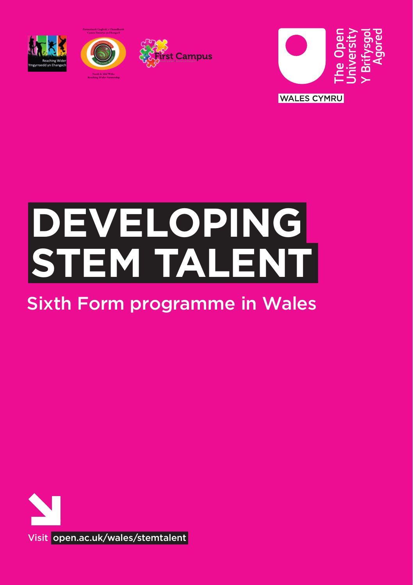







# **DEVELOPING STEM TALENT**

## Sixth Form programme in Wales

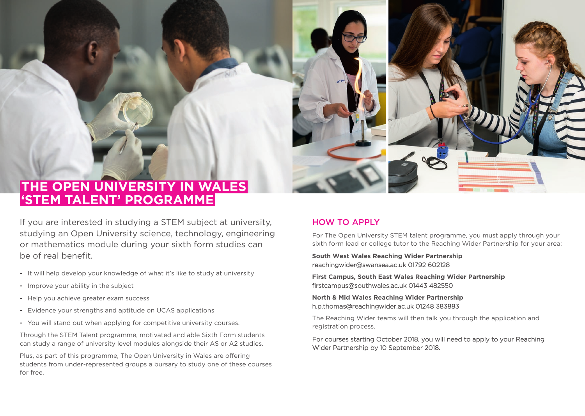



## **THE OPEN UNIVERSITY IN WALES 'STEM TALENT' PROGRAMME**

If you are interested in studying a STEM subject at university, studying an Open University science, technology, engineering or mathematics module during your sixth form studies can be of real benefit.

- **-** It will help develop your knowledge of what it's like to study at university
- **-** Improve your ability in the subject
- **-** Help you achieve greater exam success
- **-** Evidence your strengths and aptitude on UCAS applications
- **-** You will stand out when applying for competitive university courses.

Through the STEM Talent programme, motivated and able Sixth Form students can study a range of university level modules alongside their AS or A2 studies.

Plus, as part of this programme, The Open University in Wales are offering students from under-represented groups a bursary to study one of these courses for free.

### HOW TO APPLY

For The Open University STEM talent programme, you must apply through your sixth form lead or college tutor to the Reaching Wider Partnership for your area:

**South West Wales Reaching Wider Partnership** reachingwider@swansea.ac.uk 01792 602128

**First Campus, South East Wales Reaching Wider Partnership** firstcampus@southwales.ac.uk 01443 482550

**North & Mid Wales Reaching Wider Partnership** h.p.thomas@reachingwider.ac.uk 01248 383883

The Reaching Wider teams will then talk you through the application and registration process.

For courses starting October 2018, you will need to apply to your Reaching Wider Partnership by 10 September 2018.